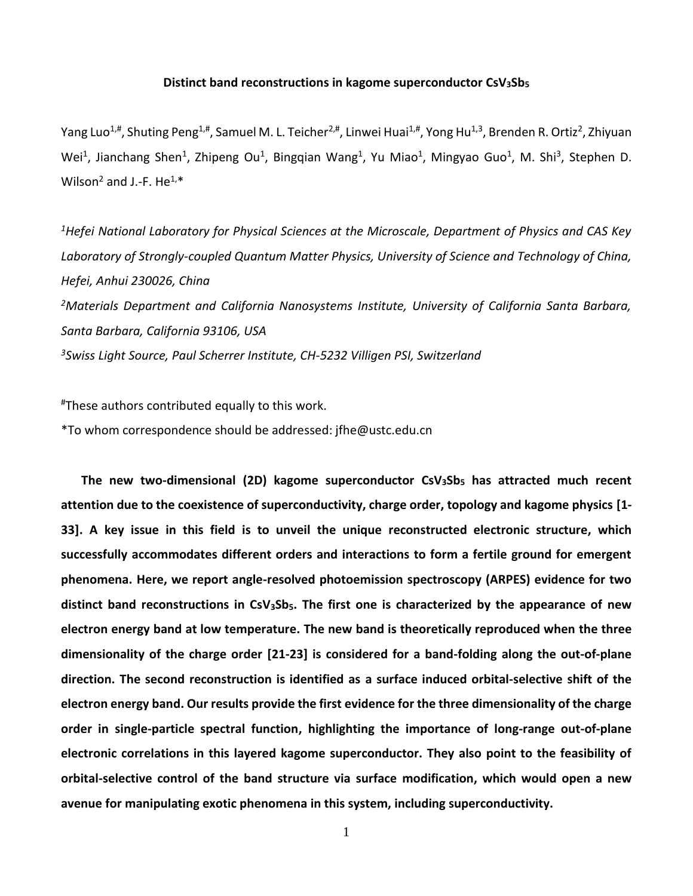## **Distinct band reconstructions in kagome superconductor CsV3Sb<sup>5</sup>**

Yang Luo<sup>1,#</sup>, Shuting Peng<sup>1,#</sup>, Samuel M. L. Teicher<sup>2,#</sup>, Linwei Huai<sup>1,#</sup>, Yong Hu<sup>1,3</sup>, Brenden R. Ortiz<sup>2</sup>, Zhiyuan Wei<sup>1</sup>, Jianchang Shen<sup>1</sup>, Zhipeng Ou<sup>1</sup>, Bingqian Wang<sup>1</sup>, Yu Miao<sup>1</sup>, Mingyao Guo<sup>1</sup>, M. Shi<sup>3</sup>, Stephen D. Wilson<sup>2</sup> and J.-F. He<sup>1,\*</sup>

*<sup>1</sup>Hefei National Laboratory for Physical Sciences at the Microscale, Department of Physics and CAS Key Laboratory of Strongly-coupled Quantum Matter Physics, University of Science and Technology of China, Hefei, Anhui 230026, China <sup>2</sup>Materials Department and California Nanosystems Institute, University of California Santa Barbara, Santa Barbara, California 93106, USA <sup>3</sup>Swiss Light Source, Paul Scherrer Institute, CH-5232 Villigen PSI, Switzerland*

#These authors contributed equally to this work.

\*To whom correspondence should be addressed: [jfhe@ustc.edu.cn](mailto:jfhe@ustc.edu.cn)

**The new two-dimensional (2D) kagome superconductor CsV3Sb<sup>5</sup> has attracted much recent attention due to the coexistence of superconductivity, charge order, topology and kagome physics [1- 33]. A key issue in this field is to unveil the unique reconstructed electronic structure, which successfully accommodates different orders and interactions to form a fertile ground for emergent phenomena. Here, we report angle-resolved photoemission spectroscopy (ARPES) evidence for two distinct band reconstructions in CsV3Sb5. The first one is characterized by the appearance of new electron energy band at low temperature. The new band is theoretically reproduced when the three dimensionality of the charge order [21-23] is considered for a band-folding along the out-of-plane direction. The second reconstruction is identified as a surface induced orbital-selective shift of the electron energy band. Our results provide the first evidence for the three dimensionality of the charge order in single-particle spectral function, highlighting the importance of long-range out-of-plane electronic correlations in this layered kagome superconductor. They also point to the feasibility of orbital-selective control of the band structure via surface modification, which would open a new avenue for manipulating exotic phenomena in this system, including superconductivity.** 

1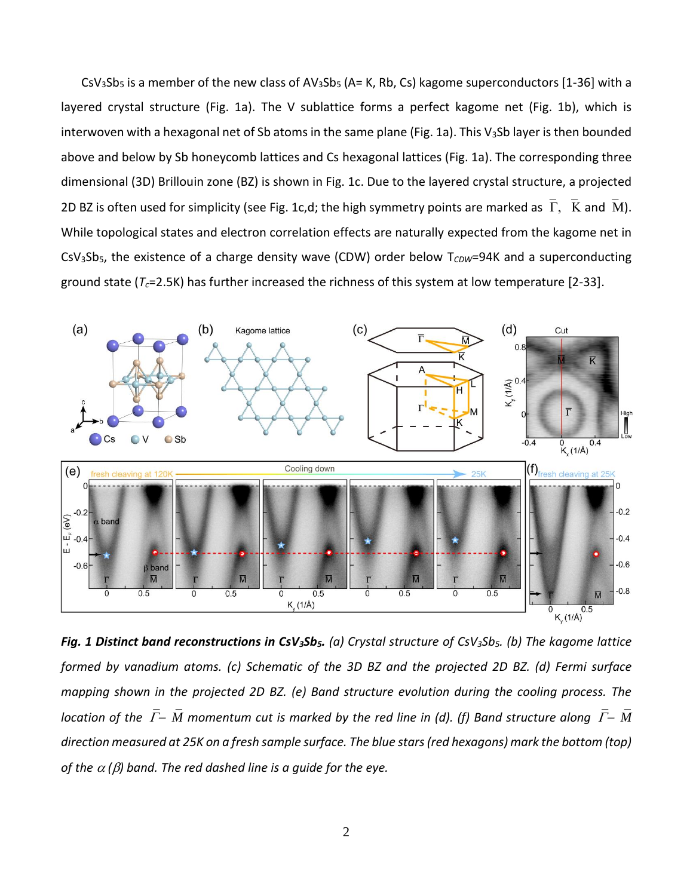$CsV<sub>3</sub>Sb<sub>5</sub>$  is a member of the new class of  $AV<sub>3</sub>Sb<sub>5</sub>$  (A= K, Rb, Cs) kagome superconductors [1-36] with a layered crystal structure (Fig. 1a). The V sublattice forms a perfect kagome net (Fig. 1b), which is interwoven with a hexagonal net of Sb atoms in the same plane (Fig. 1a). This V<sub>3</sub>Sb layer is then bounded above and below by Sb honeycomb lattices and Cs hexagonal lattices (Fig. 1a). The corresponding three dimensional (3D) Brillouin zone (BZ) is shown in Fig. 1c. Due to the layered crystal structure, a projected 2D BZ is often used for simplicity (see Fig. 1c,d; the high symmetry points are marked as  $\bar{\Gamma}$ ,  $\bar{K}$  and  $\bar{M}$ ). While topological states and electron correlation effects are naturally expected from the kagome net in CsV<sub>3</sub>Sb<sub>5</sub>, the existence of a charge density wave (CDW) order below T<sub>CDW</sub>=94K and a superconducting ground state (*Tc*=2.5K) has further increased the richness of this system at low temperature [2-33].



*Fig. 1 Distinct band reconstructions in CsV3Sb5. (a) Crystal structure of CsV3Sb5. (b) The kagome lattice formed by vanadium atoms. (c) Schematic of the 3D BZ and the projected 2D BZ. (d) Fermi surface mapping shown in the projected 2D BZ. (e) Band structure evolution during the cooling process. The location of the*−*M momentum cut is marked by the red line in (d). (f) Band structure along*−*M direction measured at 25K on a fresh sample surface. The blue stars(red hexagons) mark the bottom (top) of the*  $\alpha$  *(* $\beta$ *) band. The red dashed line is a quide for the eye.*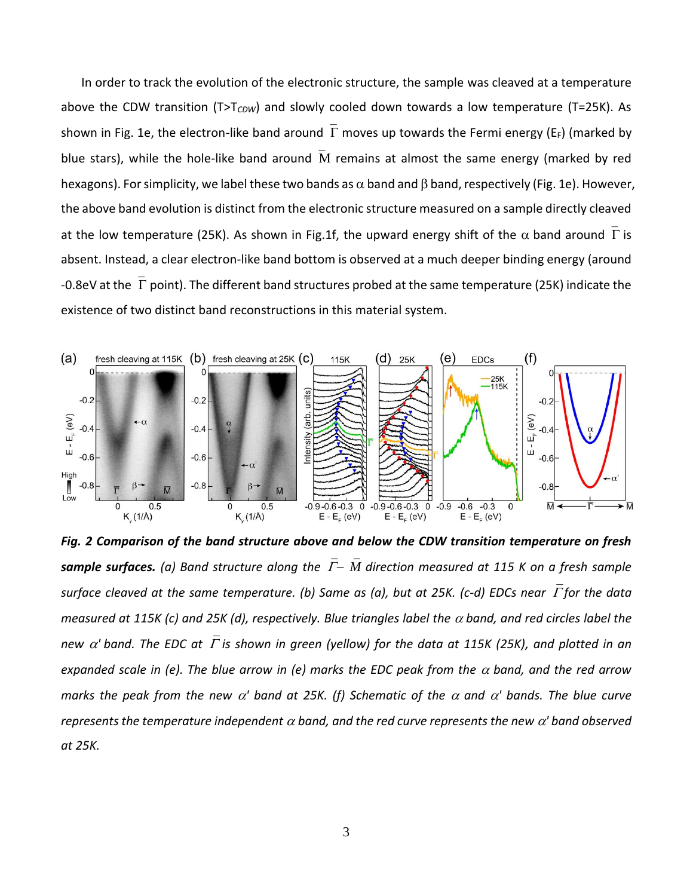In order to track the evolution of the electronic structure, the sample was cleaved at a temperature above the CDW transition (T>T<sub>CDW</sub>) and slowly cooled down towards a low temperature (T=25K). As shown in Fig. 1e, the electron-like band around  $\overline{\Gamma}$  moves up towards the Fermi energy (E<sub>F</sub>) (marked by blue stars), while the hole-like band around  $\overline{M}$  remains at almost the same energy (marked by red hexagons). For simplicity, we label these two bands as  $\alpha$  band and  $\beta$  band, respectively (Fig. 1e). However, the above band evolution is distinct from the electronic structure measured on a sample directly cleaved at the low temperature (25K). As shown in Fig.1f, the upward energy shift of the  $\alpha$  band around  $\Gamma$  is absent. Instead, a clear electron-like band bottom is observed at a much deeper binding energy (around -0.8eV at the  $\Gamma$  point). The different band structures probed at the same temperature (25K) indicate the existence of two distinct band reconstructions in this material system.



*Fig. 2 Comparison of the band structure above and below the CDW transition temperature on fresh sample surfaces. (a) Band structure along the*−*M direction measured at 115 K on a fresh sample surface cleaved at the same temperature. (b) Same as (a), but at 25K. (c-d) EDCs near*  $\overline{\Gamma}$  *for the data measured at 115K (c) and 25K (d), respectively. Blue triangles label the*  $\alpha$  *band, and red circles label the new*  $\alpha'$  *band. The EDC at*  $\overline{\Gamma}$  is shown in green (yellow) for the data at 115K (25K), and plotted in an *expanded scale in (e). The blue arrow in (e) marks the EDC peak from the*  $\alpha$  *band, and the red arrow marks the peak from the new*  $\alpha'$  *band at 25K. (f) Schematic of the*  $\alpha$  *and*  $\alpha'$  *bands. The blue curve represents* the temperature independent  $\alpha$  band, and the red curve represents the new  $\alpha'$  band observed *at 25K.*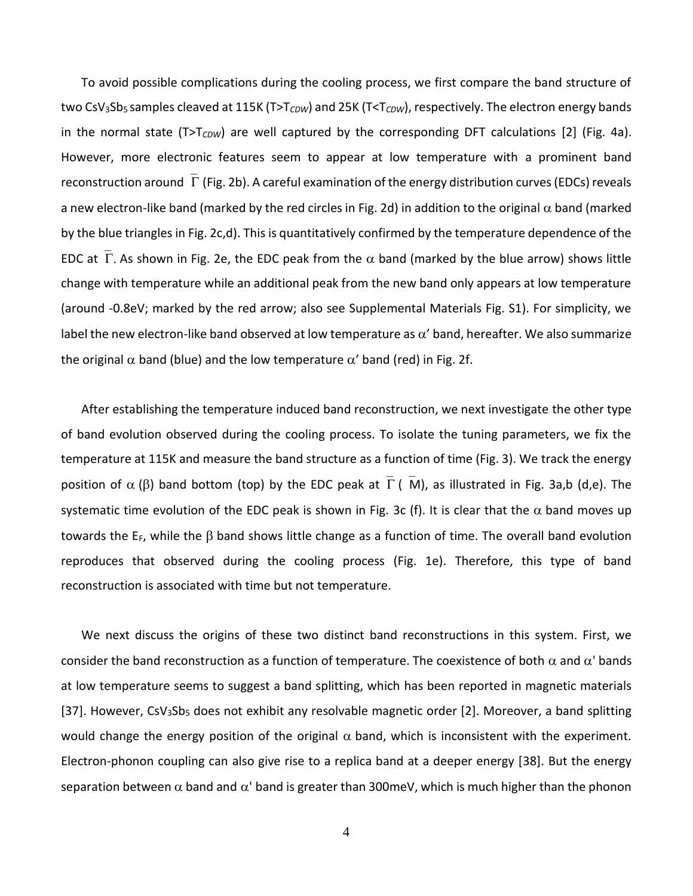To avoid possible complications during the cooling process, we first compare the band structure of two CsV<sub>3</sub>Sb<sub>5</sub> samples cleaved at 115K (T>T<sub>CDW</sub>) and 25K (T<T<sub>CDW</sub>), respectively. The electron energy bands in the normal state (T>T<sub>CDW</sub>) are well captured by the corresponding DFT calculations [2] (Fig. 4a). However, more electronic features seem to appear at low temperature with a prominent band reconstruction around  $\bar{\Gamma}$  (Fig. 2b). A careful examination of the energy distribution curves (EDCs) reveals a new electron-like band (marked by the red circles in Fig. 2d) in addition to the original  $\alpha$  band (marked by the blue triangles in Fig. 2c,d). This is quantitatively confirmed by the temperature dependence of the EDC at  $\Gamma$ . As shown in Fig. 2e, the EDC peak from the  $\alpha$  band (marked by the blue arrow) shows little change with temperature while an additional peak from the new band only appears at low temperature (around -0.8eV; marked by the red arrow; also see Supplemental Materials Fig. S1). For simplicity, we label the new electron-like band observed at low temperature as  $\alpha'$  band, hereafter. We also summarize the original  $\alpha$  band (blue) and the low temperature  $\alpha'$  band (red) in Fig. 2f.

After establishing the temperature induced band reconstruction, we next investigate the other type of band evolution observed during the cooling process. To isolate the tuning parameters, we fix the temperature at 115K and measure the band structure as a function of time (Fig. 3). We track the energy position of  $\alpha$  ( $\beta$ ) band bottom (top) by the EDC peak at  $\overline{\Gamma}$  ( $\overline{M}$ ), as illustrated in Fig. 3a,b (d,e). The systematic time evolution of the EDC peak is shown in Fig. 3c (f). It is clear that the  $\alpha$  band moves up towards the  $E_F$ , while the  $\beta$  band shows little change as a function of time. The overall band evolution reproduces that observed during the cooling process (Fig. 1e). Therefore, this type of band reconstruction is associated with time but not temperature.

We next discuss the origins of these two distinct band reconstructions in this system. First, we consider the band reconstruction as a function of temperature. The coexistence of both  $\alpha$  and  $\alpha'$  bands at low temperature seems to suggest a band splitting, which has been reported in magnetic materials [37]. However,  $CsV_3Sb_5$  does not exhibit any resolvable magnetic order [2]. Moreover, a band splitting would change the energy position of the original  $\alpha$  band, which is inconsistent with the experiment. Electron-phonon coupling can also give rise to a replica band at a deeper energy [38]. But the energy separation between  $\alpha$  band and  $\alpha'$  band is greater than 300meV, which is much higher than the phonon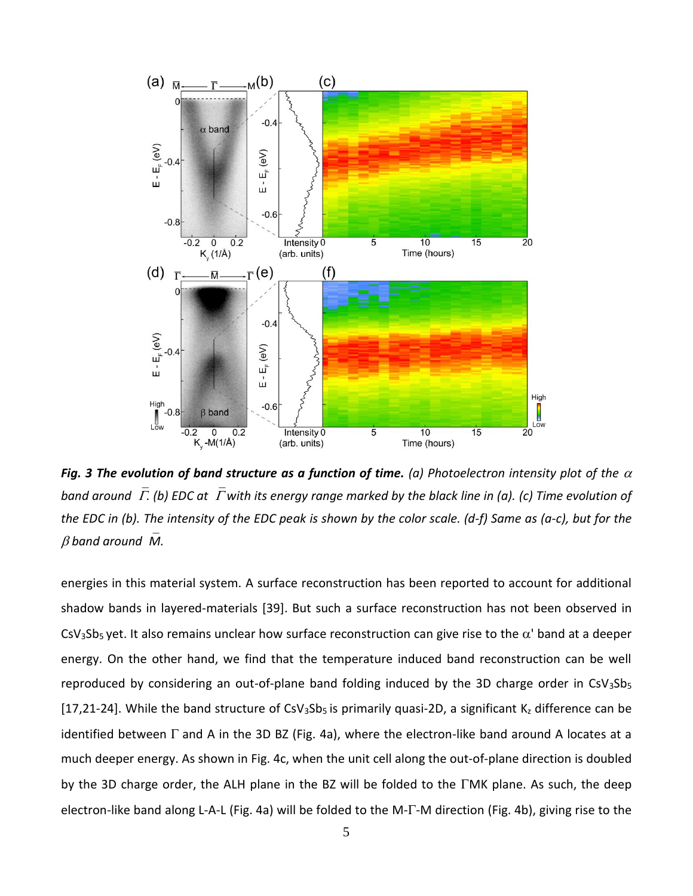

*Fig. 3 The evolution of band structure as a function of time. (a) Photoelectron intensity plot of the*  $\alpha$ *band around*  $\bar{\Gamma}$ . (b) EDC at  $\bar{\Gamma}$  with its energy range marked by the black line in (a). (c) Time evolution of *the EDC in (b). The intensity of the EDC peak is shown by the color scale. (d-f) Same as (a-c), but for the*   $\beta$  band around *M*.

energies in this material system. A surface reconstruction has been reported to account for additional shadow bands in layered-materials [39]. But such a surface reconstruction has not been observed in CsV<sub>3</sub>Sb<sub>5</sub> yet. It also remains unclear how surface reconstruction can give rise to the  $\alpha'$  band at a deeper energy. On the other hand, we find that the temperature induced band reconstruction can be well reproduced by considering an out-of-plane band folding induced by the 3D charge order in  $CsV<sub>3</sub>Sb<sub>5</sub>$ [17,21-24]. While the band structure of CsV<sub>3</sub>Sb<sub>5</sub> is primarily quasi-2D, a significant K<sub>z</sub> difference can be identified between  $\Gamma$  and A in the 3D BZ (Fig. 4a), where the electron-like band around A locates at a much deeper energy. As shown in Fig. 4c, when the unit cell along the out-of-plane direction is doubled by the 3D charge order, the ALH plane in the BZ will be folded to the  $\Gamma$ MK plane. As such, the deep electron-like band along L-A-L (Fig. 4a) will be folded to the M- $\Gamma$ -M direction (Fig. 4b), giving rise to the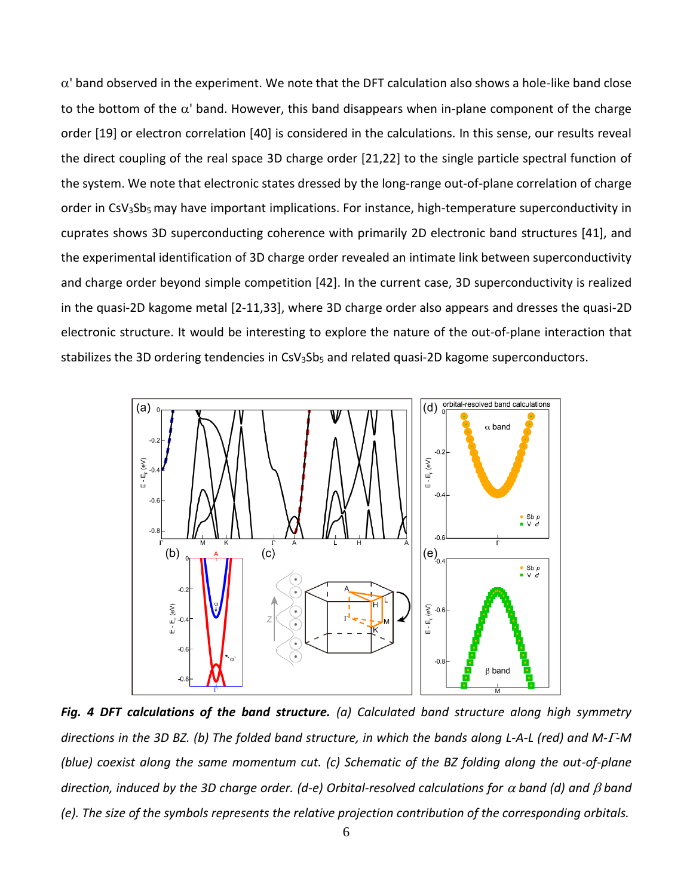$\alpha'$  band observed in the experiment. We note that the DFT calculation also shows a hole-like band close to the bottom of the  $\alpha'$  band. However, this band disappears when in-plane component of the charge order [19] or electron correlation [40] is considered in the calculations. In this sense, our results reveal the direct coupling of the real space 3D charge order [21,22] to the single particle spectral function of the system. We note that electronic states dressed by the long-range out-of-plane correlation of charge order in CsV<sub>3</sub>Sb<sub>5</sub> may have important implications. For instance, high-temperature superconductivity in cuprates shows 3D superconducting coherence with primarily 2D electronic band structures [41], and the experimental identification of 3D charge order revealed an intimate link between superconductivity and charge order beyond simple competition [42]. In the current case, 3D superconductivity is realized in the quasi-2D kagome metal [2-11,33], where 3D charge order also appears and dresses the quasi-2D electronic structure. It would be interesting to explore the nature of the out-of-plane interaction that stabilizes the 3D ordering tendencies in CsV<sub>3</sub>Sb<sub>5</sub> and related quasi-2D kagome superconductors.



*Fig. 4 DFT calculations of the band structure. (a) Calculated band structure along high symmetry directions in the 3D BZ. (b) The folded band structure, in which the bands along L-A-L (red) and M--M (blue) coexist along the same momentum cut. (c) Schematic of the BZ folding along the out-of-plane direction, induced by the 3D charge order. (d-e) Orbital-resolved calculations for*  $\alpha$  *band (d) and*  $\beta$  *band (e). The size of the symbols represents the relative projection contribution of the corresponding orbitals.*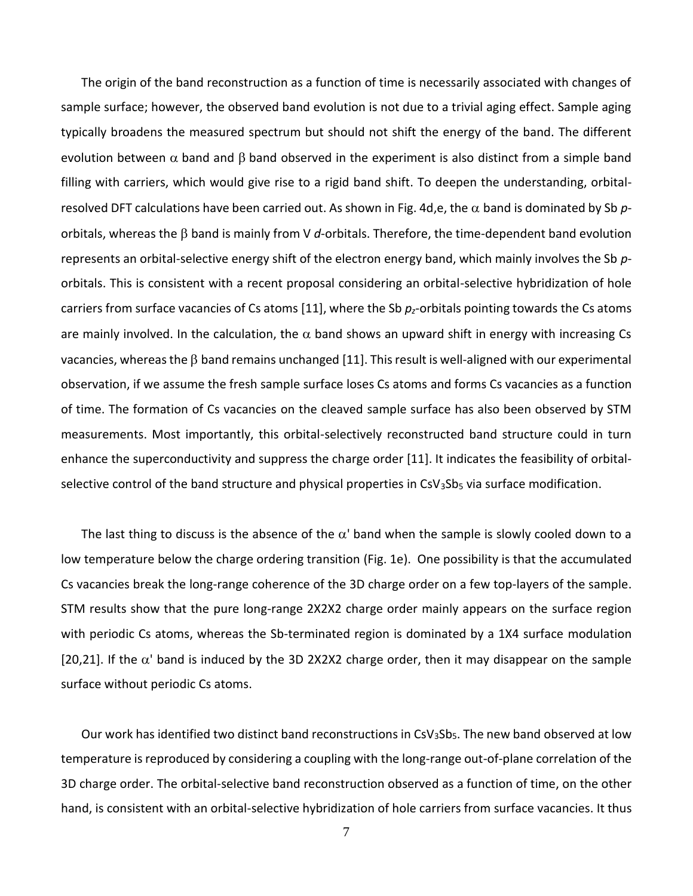The origin of the band reconstruction as a function of time is necessarily associated with changes of sample surface; however, the observed band evolution is not due to a trivial aging effect. Sample aging typically broadens the measured spectrum but should not shift the energy of the band. The different evolution between  $\alpha$  band and  $\beta$  band observed in the experiment is also distinct from a simple band filling with carriers, which would give rise to a rigid band shift. To deepen the understanding, orbitalresolved DFT calculations have been carried out. As shown in Fig. 4d,e, the  $\alpha$  band is dominated by Sb porbitals, whereas the  $\beta$  band is mainly from V d-orbitals. Therefore, the time-dependent band evolution represents an orbital-selective energy shift of the electron energy band, which mainly involves the Sb *p*orbitals. This is consistent with a recent proposal considering an orbital-selective hybridization of hole carriers from surface vacancies of Cs atoms [11], where the Sb *pz*-orbitals pointing towards the Cs atoms are mainly involved. In the calculation, the  $\alpha$  band shows an upward shift in energy with increasing Cs vacancies, whereas the  $\beta$  band remains unchanged [11]. This result is well-aligned with our experimental observation, if we assume the fresh sample surface loses Cs atoms and forms Cs vacancies as a function of time. The formation of Cs vacancies on the cleaved sample surface has also been observed by STM measurements. Most importantly, this orbital-selectively reconstructed band structure could in turn enhance the superconductivity and suppress the charge order [11]. It indicates the feasibility of orbitalselective control of the band structure and physical properties in  $CsV<sub>3</sub>Sb<sub>5</sub>$  via surface modification.

The last thing to discuss is the absence of the  $\alpha'$  band when the sample is slowly cooled down to a low temperature below the charge ordering transition (Fig. 1e). One possibility is that the accumulated Cs vacancies break the long-range coherence of the 3D charge order on a few top-layers of the sample. STM results show that the pure long-range 2X2X2 charge order mainly appears on the surface region with periodic Cs atoms, whereas the Sb-terminated region is dominated by a 1X4 surface modulation [20,21]. If the  $\alpha'$  band is induced by the 3D 2X2X2 charge order, then it may disappear on the sample surface without periodic Cs atoms.

Our work has identified two distinct band reconstructions in  $CsV<sub>3</sub>Sb<sub>5</sub>$ . The new band observed at low temperature is reproduced by considering a coupling with the long-range out-of-plane correlation of the 3D charge order. The orbital-selective band reconstruction observed as a function of time, on the other hand, is consistent with an orbital-selective hybridization of hole carriers from surface vacancies. It thus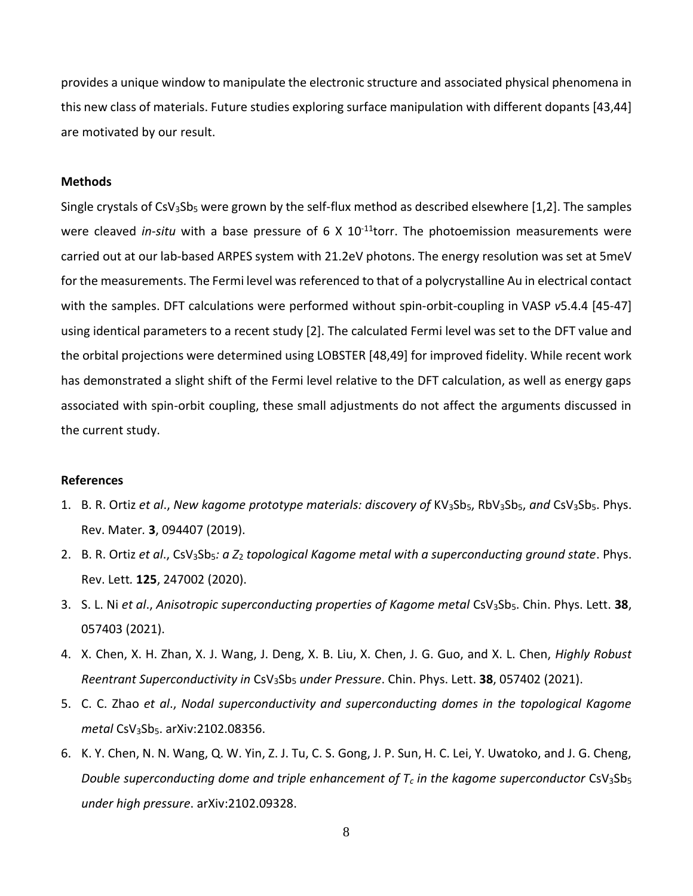provides a unique window to manipulate the electronic structure and associated physical phenomena in this new class of materials. Future studies exploring surface manipulation with different dopants [43,44] are motivated by our result.

## **Methods**

Single crystals of  $CsV_3Sb_5$  were grown by the self-flux method as described elsewhere [1,2]. The samples were cleaved *in-situ* with a base pressure of 6 X 10<sup>-11</sup>torr. The photoemission measurements were carried out at our lab-based ARPES system with 21.2eV photons. The energy resolution was set at 5meV for the measurements. The Fermi level was referenced to that of a polycrystalline Au in electrical contact with the samples. DFT calculations were performed without spin-orbit-coupling in VASP *v*5.4.4 [45-47] using identical parameters to a recent study [2]. The calculated Fermi level was set to the DFT value and the orbital projections were determined using LOBSTER [48,49] for improved fidelity. While recent work has demonstrated a slight shift of the Fermi level relative to the DFT calculation, as well as energy gaps associated with spin-orbit coupling, these small adjustments do not affect the arguments discussed in the current study.

## **References**

- 1. B. R. Ortiz *et al*., *New kagome prototype materials: discovery of* KV3Sb5, RbV3Sb5, *and* CsV3Sb5. Phys. Rev. Mater*.* **3**, 094407 (2019).
- 2. B. R. Ortiz *et al*., CsV3Sb5*: a Z*<sup>2</sup> *topological Kagome metal with a superconducting ground state*. Phys. Rev. Lett*.* **125**, 247002 (2020).
- 3. S. L. Ni *et al*., *Anisotropic superconducting properties of Kagome metal* CsV3Sb5. Chin. Phys. Lett. **38**, 057403 (2021).
- 4. X. Chen, X. H. Zhan, X. J. Wang, J. Deng, X. B. Liu, X. Chen, J. G. Guo, and X. L. Chen, *Highly Robust Reentrant Superconductivity in* CsV3Sb<sup>5</sup> *under Pressure*. Chin. Phys. Lett. **38**, 057402 (2021).
- 5. C. C. Zhao *et al*., *Nodal superconductivity and superconducting domes in the topological Kagome metal* CsV3Sb5. arXiv:2102.08356.
- 6. K. Y. Chen, N. N. Wang, Q. W. Yin, Z. J. Tu, C. S. Gong, J. P. Sun, H. C. Lei, Y. Uwatoko, and J. G. Cheng, *Double superconducting dome and triple enhancement of T<sub>c</sub> in the kagome superconductor CsV<sub>3</sub>Sb<sub>5</sub> under high pressure*. arXiv:2102.09328.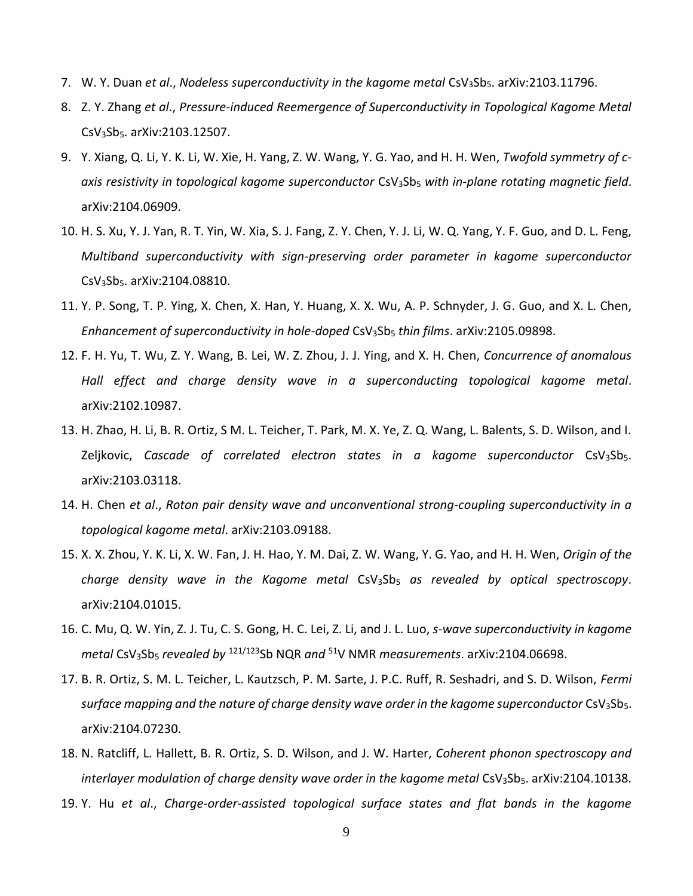- 7. W. Y. Duan *et al*., *Nodeless superconductivity in the kagome metal* CsV3Sb5. arXiv:2103.11796.
- 8. Z. Y. Zhang *et al*., *Pressure-induced Reemergence of Superconductivity in Topological Kagome Metal*  CsV3Sb5. arXiv:2103.12507.
- 9. Y. Xiang, Q. Li, Y. K. Li, W. Xie, H. Yang, Z. W. Wang, Y. G. Yao, and H. H. Wen, *Twofold symmetry of caxis resistivity in topological kagome superconductor* CsV3Sb<sup>5</sup> *with in-plane rotating magnetic field*. arXiv:2104.06909.
- 10. H. S. Xu, Y. J. Yan, R. T. Yin, W. Xia, S. J. Fang, Z. Y. Chen, Y. J. Li, W. Q. Yang, Y. F. Guo, and D. L. Feng, *Multiband superconductivity with sign-preserving order parameter in kagome superconductor*  CsV3Sb5. arXiv:2104.08810.
- 11. Y. P. Song, T. P. Ying, X. Chen, X. Han, Y. Huang, X. X. Wu, A. P. Schnyder, J. G. Guo, and X. L. Chen, *Enhancement of superconductivity in hole-doped* CsV3Sb<sup>5</sup> *thin films*. arXiv:2105.09898.
- 12. F. H. Yu, T. Wu, Z. Y. Wang, B. Lei, W. Z. Zhou, J. J. Ying, and X. H. Chen, *Concurrence of anomalous Hall effect and charge density wave in a superconducting topological kagome metal*. arXiv:2102.10987.
- 13. H. Zhao, H. Li, B. R. Ortiz, S M. L. Teicher, T. Park, M. X. Ye, Z. Q. Wang, L. Balents, S. D. Wilson, and I. Zeljkovic, *Cascade of correlated electron states in a kagome superconductor* CsV<sub>3</sub>Sb<sub>5</sub>. arXiv:2103.03118.
- 14. H. Chen *et al*., *Roton pair density wave and unconventional strong-coupling superconductivity in a topological kagome metal*. arXiv:2103.09188.
- 15. X. X. Zhou, Y. K. Li, X. W. Fan, J. H. Hao, Y. M. Dai, Z. W. Wang, Y. G. Yao, and H. H. Wen, *Origin of the charge density wave in the Kagome metal* CsV3Sb<sup>5</sup> *as revealed by optical spectroscopy*. arXiv:2104.01015.
- 16. C. Mu, Q. W. Yin, Z. J. Tu, C. S. Gong, H. C. Lei, Z. Li, and J. L. Luo, *s-wave superconductivity in kagome metal* CsV3Sb<sup>5</sup> *revealed by* 121/123Sb NQR *and* <sup>51</sup>V NMR *measurements*. arXiv:2104.06698.
- 17. B. R. Ortiz, S. M. L. Teicher, L. Kautzsch, P. M. Sarte, J. P.C. Ruff, R. Seshadri, and S. D. Wilson, *Fermi*  surface mapping and the nature of charge density wave order in the kagome superconductor CsV<sub>3</sub>Sb<sub>5</sub>. arXiv:2104.07230.
- 18. N. Ratcliff, L. Hallett, B. R. Ortiz, S. D. Wilson, and J. W. Harter, *Coherent phonon spectroscopy and interlayer modulation of charge density wave order in the kagome metal* CsV<sub>3</sub>Sb<sub>5</sub>. arXiv:2104.10138.
- 19. Y. Hu *et al*., *Charge-order-assisted topological surface states and flat bands in the kagome*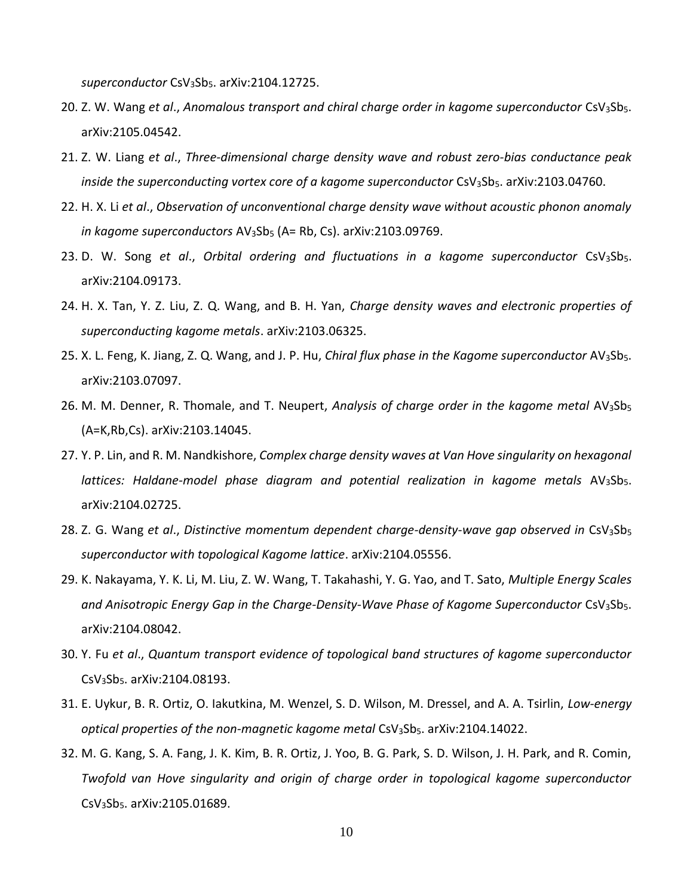*superconductor* CsV3Sb5. arXiv:2104.12725.

- 20. Z. W. Wang *et al*., *Anomalous transport and chiral charge order in kagome superconductor* CsV3Sb5. arXiv:2105.04542.
- 21. Z. W. Liang *et al*., *Three-dimensional charge density wave and robust zero-bias conductance peak*  inside the superconducting vortex core of a kagome superconductor CsV<sub>3</sub>Sb<sub>5</sub>. arXiv:2103.04760.
- 22. H. X. Li *et al*., *Observation of unconventional charge density wave without acoustic phonon anomaly in kagome superconductors* AV3Sb<sup>5</sup> (A= Rb, Cs). arXiv:2103.09769.
- 23. D. W. Song *et al*., *Orbital ordering and fluctuations in a kagome superconductor* CsV3Sb5. arXiv:2104.09173.
- 24. H. X. Tan, Y. Z. Liu, Z. Q. Wang, and B. H. Yan, *Charge density waves and electronic properties of superconducting kagome metals*. arXiv:2103.06325.
- 25. X. L. Feng, K. Jiang, Z. Q. Wang, and J. P. Hu, *Chiral flux phase in the Kagome superconductor* AV3Sb5. arXiv:2103.07097.
- 26. M. M. Denner, R. Thomale, and T. Neupert, *Analysis of charge order in the kagome metal* AV3Sb<sup>5</sup> (A=K,Rb,Cs). arXiv:2103.14045.
- 27. Y. P. Lin, and R. M. Nandkishore, *Complex charge density waves at Van Hove singularity on hexagonal*  lattices: Haldane-model phase diagram and potential realization in kagome metals AV<sub>3</sub>Sb<sub>5</sub>. arXiv:2104.02725.
- 28. Z. G. Wang *et al., Distinctive momentum dependent charge-density-wave gap observed in CsV<sub>3</sub>Sb<sub>5</sub> superconductor with topological Kagome lattice*. arXiv:2104.05556.
- 29. K. Nakayama, Y. K. Li, M. Liu, Z. W. Wang, T. Takahashi, Y. G. Yao, and T. Sato, *Multiple Energy Scales*  and Anisotropic Energy Gap in the Charge-Density-Wave Phase of Kagome Superconductor CsV<sub>3</sub>Sb<sub>5</sub>. arXiv:2104.08042.
- 30. Y. Fu *et al*., *Quantum transport evidence of topological band structures of kagome superconductor*  CsV3Sb5. arXiv:2104.08193.
- 31. E. Uykur, B. R. Ortiz, O. Iakutkina, M. Wenzel, S. D. Wilson, M. Dressel, and A. A. Tsirlin, *Low-energy optical properties of the non-magnetic kagome metal CsV*<sub>3</sub>Sb<sub>5</sub>. arXiv:2104.14022.
- 32. M. G. Kang, S. A. Fang, J. K. Kim, B. R. Ortiz, J. Yoo, B. G. Park, S. D. Wilson, J. H. Park, and R. Comin, *Twofold van Hove singularity and origin of charge order in topological kagome superconductor* CsV3Sb5. arXiv:2105.01689.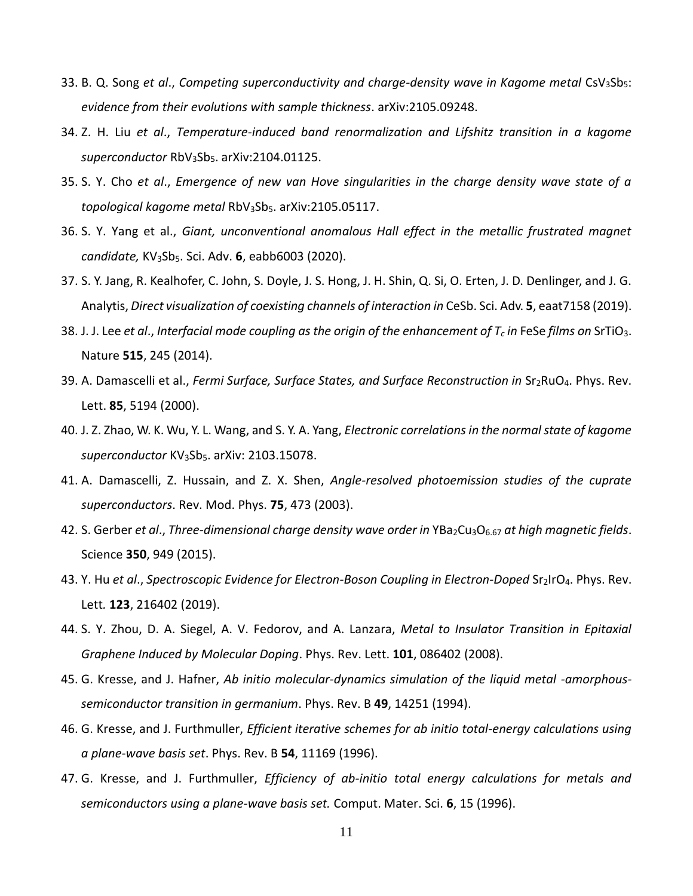- 33. B. Q. Song *et al., Competing superconductivity and charge-density wave in Kagome metal* CsV<sub>3</sub>Sb<sub>5</sub>: *evidence from their evolutions with sample thickness*. arXiv:2105.09248.
- 34. Z. H. Liu *et al*., *Temperature-induced band renormalization and Lifshitz transition in a kagome*  superconductor RbV<sub>3</sub>Sb<sub>5</sub>. arXiv:2104.01125.
- 35. S. Y. Cho *et al*., *Emergence of new van Hove singularities in the charge density wave state of a topological kagome metal* RbV3Sb5. arXiv:2105.05117.
- 36. S. Y. Yang et al., *Giant, unconventional anomalous Hall effect in the metallic frustrated magnet candidate,* KV3Sb5. Sci. Adv. **6**, eabb6003 (2020).
- 37. S. Y. Jang, R. Kealhofer, C. John, S. Doyle, J. S. Hong, J. H. Shin, Q. Si, O. Erten, J. D. Denlinger, and J. G. Analytis, *Direct visualization of coexisting channels of interaction in* CeSb. Sci. Adv. **5**, eaat7158 (2019).
- 38. J. J. Lee *et al*., *Interfacial mode coupling as the origin of the enhancement of T<sup>c</sup> in* FeSe *films on* SrTiO3. Nature **515**, 245 (2014).
- 39. A. Damascelli et al., *Fermi Surface, Surface States, and Surface Reconstruction in* Sr2RuO4. Phys. Rev. Lett. **85**, 5194 (2000).
- 40. J. Z. Zhao, W. K. Wu, Y. L. Wang, and S. Y. A. Yang, *Electronic correlations in the normal state of kagome*  superconductor KV<sub>3</sub>Sb<sub>5</sub>. arXiv: 2103.15078.
- 41. A. Damascelli, Z. Hussain, and Z. X. Shen, *Angle-resolved photoemission studies of the cuprate superconductors*. Rev. Mod. Phys. **75**, 473 (2003).
- 42. S. Gerber *et al., Three-dimensional charge density wave order in* YBa<sub>2</sub>Cu<sub>3</sub>O<sub>6.67</sub> at high magnetic fields. Science **350**, 949 (2015).
- 43. Y. Hu *et al*., *Spectroscopic Evidence for Electron-Boson Coupling in Electron-Doped* Sr2IrO4. Phys. Rev. Lett*.* **123**, 216402 (2019).
- 44. S. Y. Zhou, D. A. Siegel, A. V. Fedorov, and A. Lanzara, *Metal to Insulator Transition in Epitaxial Graphene Induced by Molecular Doping*. Phys. Rev. Lett. **101**, 086402 (2008).
- 45. G. Kresse, and J. Hafner, *Ab initio molecular-dynamics simulation of the liquid metal -amorphoussemiconductor transition in germanium*. Phys. Rev. B **49**, 14251 (1994).
- 46. G. Kresse, and J. Furthmuller, *Efficient iterative schemes for ab initio total-energy calculations using a plane-wave basis set*. Phys. Rev. B **54**, 11169 (1996).
- 47. G. Kresse, and J. Furthmuller, *Efficiency of ab-initio total energy calculations for metals and semiconductors using a plane-wave basis set.* Comput. Mater. Sci. **6**, 15 (1996).